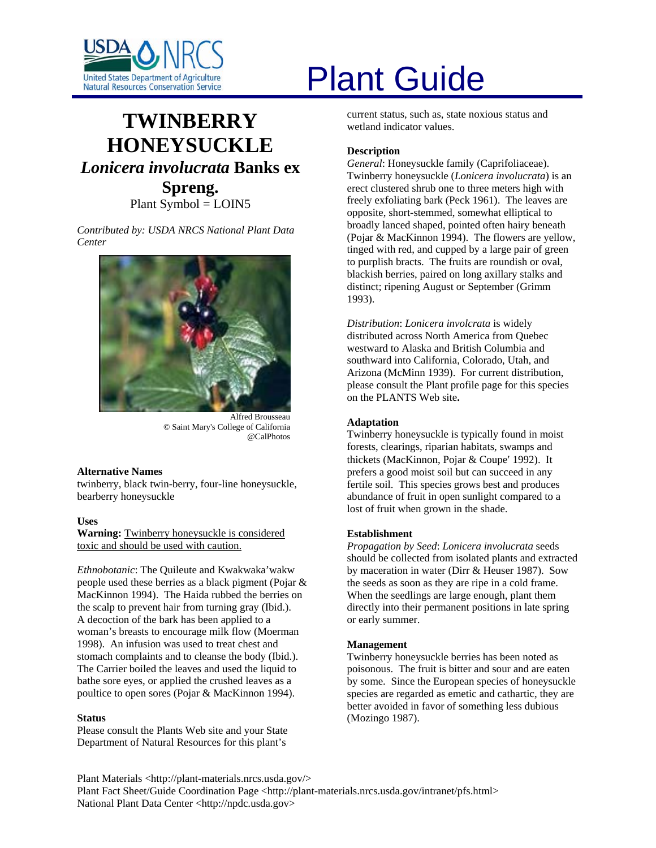

# **TWINBERRY HONEYSUCKLE** *Lonicera involucrata* **Banks ex Spreng.**

Plant Symbol = LOIN5

*Contributed by: USDA NRCS National Plant Data Center* 



Alfred Brousseau © Saint Mary's College of California @CalPhotos

#### **Alternative Names**

twinberry, black twin-berry, four-line honeysuckle, bearberry honeysuckle

**Uses** 

**Warning:** Twinberry honeysuckle is considered toxic and should be used with caution.

*Ethnobotanic*: The Quileute and Kwakwaka'wakw people used these berries as a black pigment (Pojar & MacKinnon 1994). The Haida rubbed the berries on the scalp to prevent hair from turning gray (Ibid.). A decoction of the bark has been applied to a woman's breasts to encourage milk flow (Moerman 1998). An infusion was used to treat chest and stomach complaints and to cleanse the body (Ibid.). The Carrier boiled the leaves and used the liquid to bathe sore eyes, or applied the crushed leaves as a poultice to open sores (Pojar & MacKinnon 1994).

## **Status**

Please consult the Plants Web site and your State Department of Natural Resources for this plant's

# United States Department of Agriculture<br>Natural Resources Conservation Service

current status, such as, state noxious status and wetland indicator values.

## **Description**

*General*: Honeysuckle family (Caprifoliaceae). Twinberry honeysuckle (*Lonicera involucrata*) is an erect clustered shrub one to three meters high with freely exfoliating bark (Peck 1961). The leaves are opposite, short-stemmed, somewhat elliptical to broadly lanced shaped, pointed often hairy beneath (Pojar & MacKinnon 1994). The flowers are yellow, tinged with red, and cupped by a large pair of green to purplish bracts. The fruits are roundish or oval, blackish berries, paired on long axillary stalks and distinct; ripening August or September (Grimm 1993).

*Distribution*: *Lonicera involcrata* is widely distributed across North America from Quebec westward to Alaska and British Columbia and southward into California, Colorado, Utah, and Arizona (McMinn 1939). For current distribution, please consult the Plant profile page for this species on the PLANTS Web site**.** 

# **Adaptation**

Twinberry honeysuckle is typically found in moist forests, clearings, riparian habitats, swamps and thickets (MacKinnon, Pojar & Coupe′ 1992). It prefers a good moist soil but can succeed in any fertile soil. This species grows best and produces abundance of fruit in open sunlight compared to a lost of fruit when grown in the shade.

## **Establishment**

*Propagation by Seed*: *Lonicera involucrata* seeds should be collected from isolated plants and extracted by maceration in water (Dirr & Heuser 1987). Sow the seeds as soon as they are ripe in a cold frame. When the seedlings are large enough, plant them directly into their permanent positions in late spring or early summer.

## **Management**

Twinberry honeysuckle berries has been noted as poisonous. The fruit is bitter and sour and are eaten by some. Since the European species of honeysuckle species are regarded as emetic and cathartic, they are better avoided in favor of something less dubious (Mozingo 1987).

Plant Materials <http://plant-materials.nrcs.usda.gov/> Plant Fact Sheet/Guide Coordination Page <http://plant-materials.nrcs.usda.gov/intranet/pfs.html> National Plant Data Center <http://npdc.usda.gov>